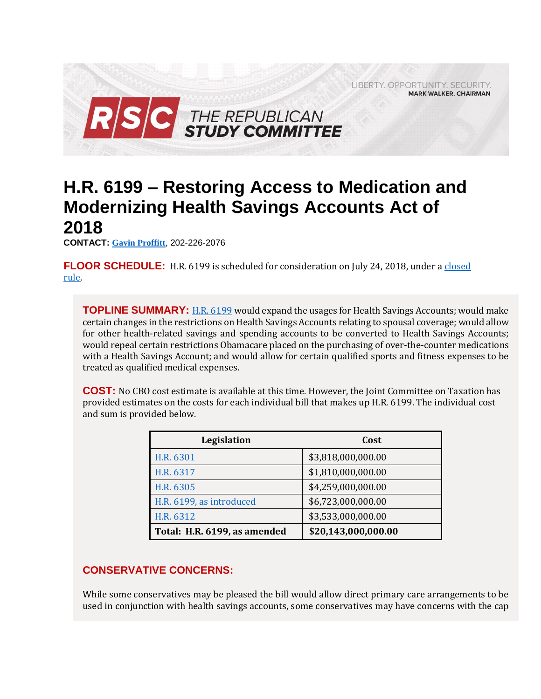

# **H.R. 6199 – Restoring Access to Medication and Modernizing Health Savings Accounts Act of 2018**

**CONTACT: [Gavin Proffitt](mailto:Gavin.Proffitt@mail.house.gov)**, 202-226-2076

**FLOOR SCHEDULE:** H.R. 6199 is scheduled for consideration on July 24, 2018, under a [closed](https://rules.house.gov/sites/republicans.rules.house.gov/files/Rule_HR6199.pdf) [rule.](https://rules.house.gov/sites/republicans.rules.house.gov/files/Rule_HR6199.pdf)

**TOPLINE SUMMARY:** [H.R. 6199](https://docs.house.gov/billsthisweek/20180723/BILLS-115HR6199HR6301HR6305HR6312HR6317-RCP115-82.pdf) would expand the usages for Health Savings Accounts; would make certain changes in the restrictions on Health Savings Accounts relating to spousal coverage; would allow for other health-related savings and spending accounts to be converted to Health Savings Accounts; would repeal certain restrictions Obamacare placed on the purchasing of over-the-counter medications with a Health Savings Account; and would allow for certain qualified sports and fitness expenses to be treated as qualified medical expenses.

**COST:** No CBO cost estimate is available at this time. However, the Joint Committee on Taxation has provided estimates on the costs for each individual bill that makes up H.R. 6199. The individual cost and sum is provided below.

| Legislation                  | Cost                |
|------------------------------|---------------------|
| H.R. 6301                    | \$3,818,000,000.00  |
| H.R. 6317                    | \$1,810,000,000.00  |
| H.R. 6305                    | \$4,259,000,000.00  |
| H.R. 6199, as introduced     | \$6,723,000,000.00  |
| H.R. 6312                    | \$3,533,000,000.00  |
| Total: H.R. 6199, as amended | \$20,143,000,000.00 |

# **CONSERVATIVE CONCERNS:**

While some conservatives may be pleased the bill would allow direct primary care arrangements to be used in conjunction with health savings accounts, some conservatives may have concerns with the cap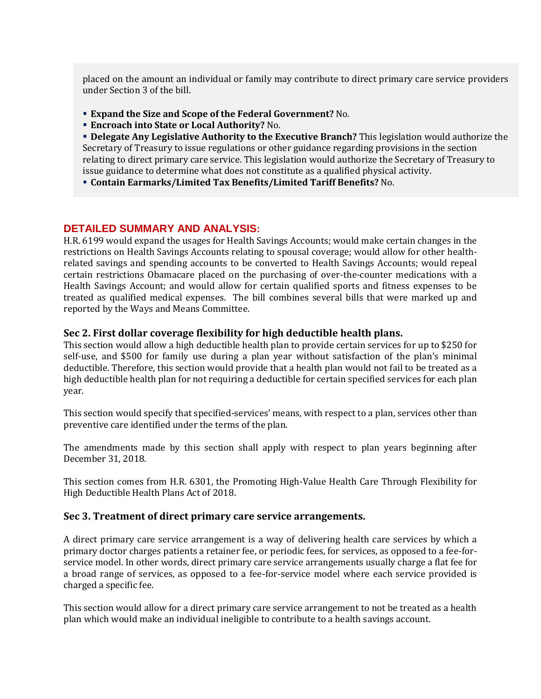placed on the amount an individual or family may contribute to direct primary care service providers under Section 3 of the bill.

- **Expand the Size and Scope of the Federal Government?** No.
- **Encroach into State or Local Authority?** No.

 **Delegate Any Legislative Authority to the Executive Branch?** This legislation would authorize the Secretary of Treasury to issue regulations or other guidance regarding provisions in the section relating to direct primary care service. This legislation would authorize the Secretary of Treasury to issue guidance to determine what does not constitute as a qualified physical activity.

**Contain Earmarks/Limited Tax Benefits/Limited Tariff Benefits?** No.

#### **DETAILED SUMMARY AND ANALYSIS:**

H.R. 6199 would expand the usages for Health Savings Accounts; would make certain changes in the restrictions on Health Savings Accounts relating to spousal coverage; would allow for other healthrelated savings and spending accounts to be converted to Health Savings Accounts; would repeal certain restrictions Obamacare placed on the purchasing of over-the-counter medications with a Health Savings Account; and would allow for certain qualified sports and fitness expenses to be treated as qualified medical expenses. The bill combines several bills that were marked up and reported by the Ways and Means Committee.

#### **Sec 2. First dollar coverage flexibility for high deductible health plans.**

This section would allow a high deductible health plan to provide certain services for up to \$250 for self-use, and \$500 for family use during a plan year without satisfaction of the plan's minimal deductible. Therefore, this section would provide that a health plan would not fail to be treated as a high deductible health plan for not requiring a deductible for certain specified services for each plan year.

This section would specify that specified-services' means, with respect to a plan, services other than preventive care identified under the terms of the plan.

The amendments made by this section shall apply with respect to plan years beginning after December 31, 2018.

This section comes from H.R. 6301, the Promoting High-Value Health Care Through Flexibility for High Deductible Health Plans Act of 2018.

#### **Sec 3. Treatment of direct primary care service arrangements.**

A direct primary care service arrangement is a way of delivering health care services by which a primary doctor charges patients a retainer fee, or periodic fees, for services, as opposed to a fee-forservice model. In other words, direct primary care service arrangements usually charge a flat fee for a broad range of services, as opposed to a fee-for-service model where each service provided is charged a specific fee.

This section would allow for a direct primary care service arrangement to not be treated as a health plan which would make an individual ineligible to contribute to a health savings account.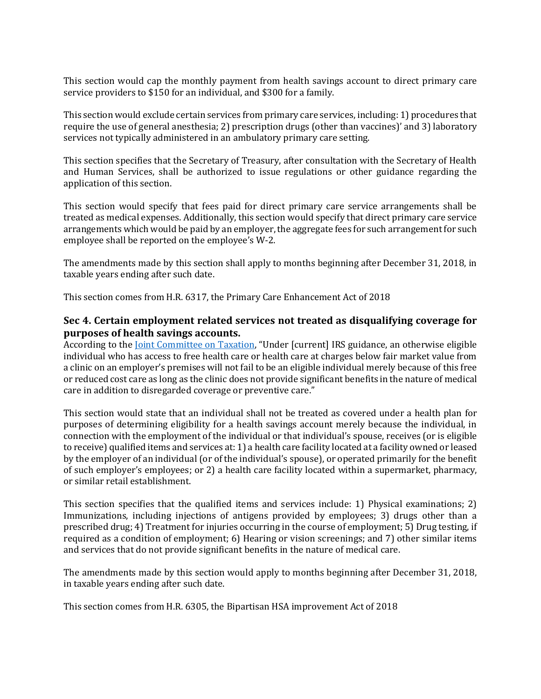This section would cap the monthly payment from health savings account to direct primary care service providers to \$150 for an individual, and \$300 for a family.

This section would exclude certain services from primary care services, including: 1) procedures that require the use of general anesthesia; 2) prescription drugs (other than vaccines)' and 3) laboratory services not typically administered in an ambulatory primary care setting.

This section specifies that the Secretary of Treasury, after consultation with the Secretary of Health and Human Services, shall be authorized to issue regulations or other guidance regarding the application of this section.

This section would specify that fees paid for direct primary care service arrangements shall be treated as medical expenses. Additionally, this section would specify that direct primary care service arrangements which would be paid by an employer, the aggregate fees for such arrangement for such employee shall be reported on the employee's W-2.

The amendments made by this section shall apply to months beginning after December 31, 2018, in taxable years ending after such date.

This section comes from H.R. 6317, the Primary Care Enhancement Act of 2018

# **Sec 4. Certain employment related services not treated as disqualifying coverage for purposes of health savings accounts.**

According to the *Joint Committee on Taxation*, "Under [current] IRS guidance, an otherwise eligible individual who has access to free health care or health care at charges below fair market value from a clinic on an employer's premises will not fail to be an eligible individual merely because of this free or reduced cost care as long as the clinic does not provide significant benefits in the nature of medical care in addition to disregarded coverage or preventive care."

This section would state that an individual shall not be treated as covered under a health plan for purposes of determining eligibility for a health savings account merely because the individual, in connection with the employment of the individual or that individual's spouse, receives (or is eligible to receive) qualified items and services at: 1) a health care facility located at a facility owned or leased by the employer of an individual (or of the individual's spouse), or operated primarily for the benefit of such employer's employees; or 2) a health care facility located within a supermarket, pharmacy, or similar retail establishment.

This section specifies that the qualified items and services include: 1) Physical examinations; 2) Immunizations, including injections of antigens provided by employees; 3) drugs other than a prescribed drug; 4) Treatment for injuries occurring in the course of employment; 5) Drug testing, if required as a condition of employment; 6) Hearing or vision screenings; and 7) other similar items and services that do not provide significant benefits in the nature of medical care.

The amendments made by this section would apply to months beginning after December 31, 2018, in taxable years ending after such date.

This section comes from H.R. 6305, the Bipartisan HSA improvement Act of 2018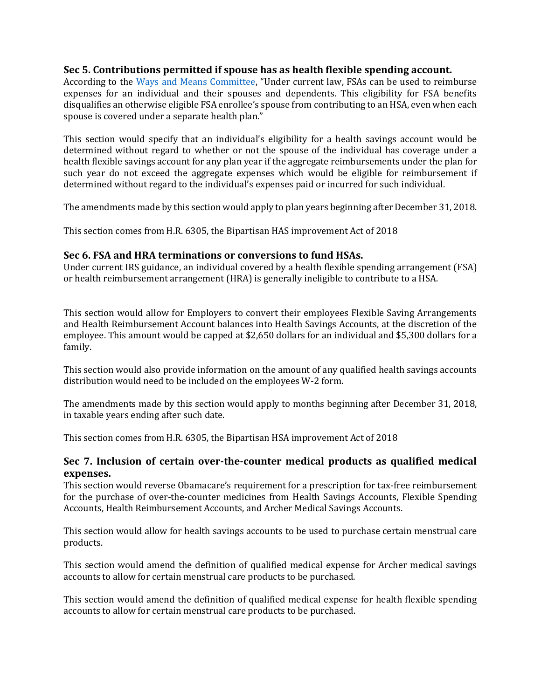### **Sec 5. Contributions permitted if spouse has as health flexible spending account.**

According to the [Ways and Means Committee](https://rules.house.gov/sites/republicans.rules.house.gov/files/115-2/HR%206199/HR6199.pdf), "Under current law, FSAs can be used to reimburse expenses for an individual and their spouses and dependents. This eligibility for FSA benefits disqualifies an otherwise eligible FSA enrollee's spouse from contributing to an HSA, even when each spouse is covered under a separate health plan."

This section would specify that an individual's eligibility for a health savings account would be determined without regard to whether or not the spouse of the individual has coverage under a health flexible savings account for any plan year if the aggregate reimbursements under the plan for such year do not exceed the aggregate expenses which would be eligible for reimbursement if determined without regard to the individual's expenses paid or incurred for such individual.

The amendments made by this section would apply to plan years beginning after December 31, 2018.

This section comes from H.R. 6305, the Bipartisan HAS improvement Act of 2018

#### **Sec 6. FSA and HRA terminations or conversions to fund HSAs.**

Under current IRS guidance, an individual covered by a health flexible spending arrangement (FSA) or health reimbursement arrangement (HRA) is generally ineligible to contribute to a HSA.

This section would allow for Employers to convert their employees Flexible Saving Arrangements and Health Reimbursement Account balances into Health Savings Accounts, at the discretion of the employee. This amount would be capped at \$2,650 dollars for an individual and \$5,300 dollars for a family.

This section would also provide information on the amount of any qualified health savings accounts distribution would need to be included on the employees W-2 form.

The amendments made by this section would apply to months beginning after December 31, 2018, in taxable years ending after such date.

This section comes from H.R. 6305, the Bipartisan HSA improvement Act of 2018

### **Sec 7. Inclusion of certain over-the-counter medical products as qualified medical expenses.**

This section would reverse Obamacare's requirement for a prescription for tax-free reimbursement for the purchase of over-the-counter medicines from Health Savings Accounts, Flexible Spending Accounts, Health Reimbursement Accounts, and Archer Medical Savings Accounts.

This section would allow for health savings accounts to be used to purchase certain menstrual care products.

This section would amend the definition of qualified medical expense for Archer medical savings accounts to allow for certain menstrual care products to be purchased.

This section would amend the definition of qualified medical expense for health flexible spending accounts to allow for certain menstrual care products to be purchased.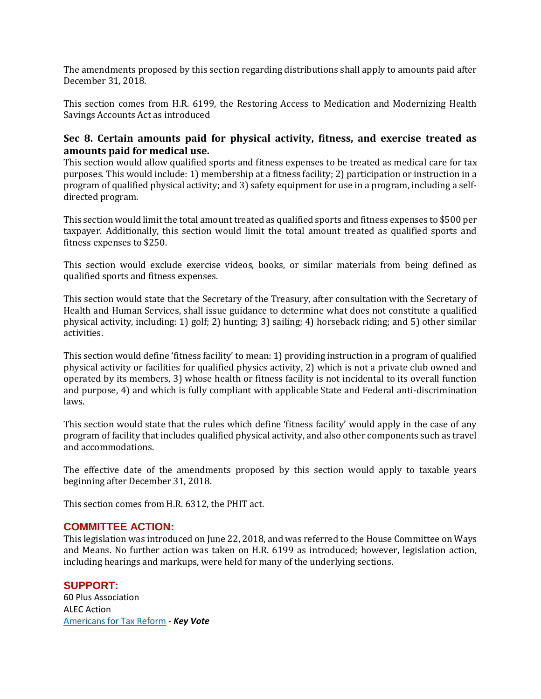The amendments proposed by this section regarding distributions shall apply to amounts paid after December 31, 2018.

This section comes from H.R. 6199, the Restoring Access to Medication and Modernizing Health Savings Accounts Act as introduced

# **Sec 8. Certain amounts paid for physical activity, fitness, and exercise treated as amounts paid for medical use.**

This section would allow qualified sports and fitness expenses to be treated as medical care for tax purposes. This would include: 1) membership at a fitness facility; 2) participation or instruction in a program of qualified physical activity; and 3) safety equipment for use in a program, including a selfdirected program.

This section would limit the total amount treated as qualified sports and fitness expenses to \$500 per taxpayer. Additionally, this section would limit the total amount treated as qualified sports and fitness expenses to \$250.

This section would exclude exercise videos, books, or similar materials from being defined as qualified sports and fitness expenses.

This section would state that the Secretary of the Treasury, after consultation with the Secretary of Health and Human Services, shall issue guidance to determine what does not constitute a qualified physical activity, including: 1) golf; 2) hunting; 3) sailing; 4) horseback riding; and 5) other similar activities.

This section would define 'fitness facility' to mean: 1) providing instruction in a program of qualified physical activity or facilities for qualified physics activity, 2) which is not a private club owned and operated by its members, 3) whose health or fitness facility is not incidental to its overall function and purpose, 4) and which is fully compliant with applicable State and Federal anti-discrimination laws.

This section would state that the rules which define 'fitness facility' would apply in the case of any program of facility that includes qualified physical activity, and also other components such as travel and accommodations.

The effective date of the amendments proposed by this section would apply to taxable years beginning after December 31, 2018.

This section comes from H.R. 6312, the PHIT act.

### **COMMITTEE ACTION:**

This legislation was introduced on June 22, 2018, and was referred to the House Committee on Ways and Means. No further action was taken on H.R. 6199 as introduced; however, legislation action, including hearings and markups, were held for many of the underlying sections.

### **SUPPORT:**

60 Plus Association ALEC Action [Americans for Tax Reform](https://www.atr.org/key-vote-atr-urges-yes-vote-legislation-expands-hsas-offer-relief-obamacare-taxes) - *Key Vote*